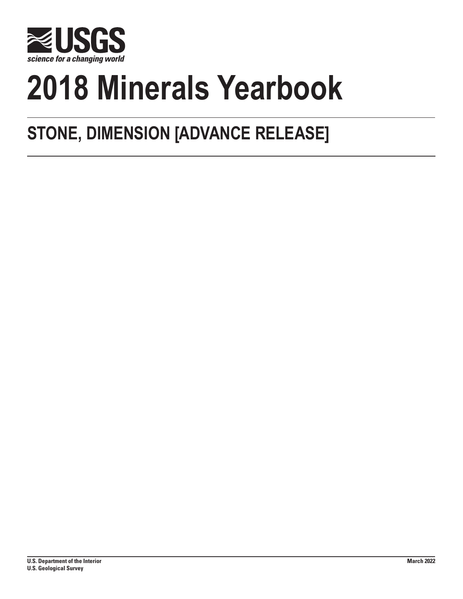

# **2018 Minerals Yearbook**

## **STONE, DIMENSION [ADVANCE RELEASE]**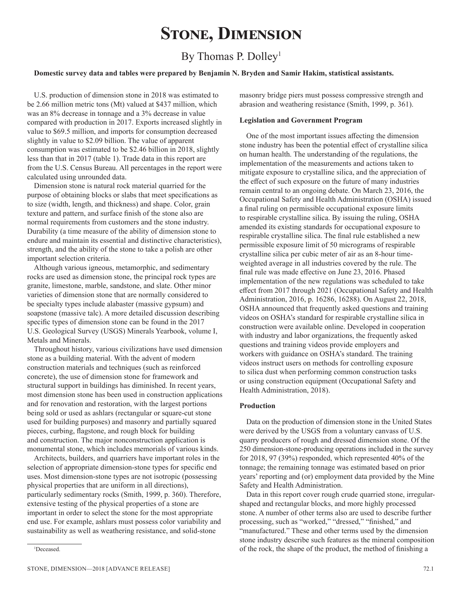## **Stone, Dimension**

### By Thomas P. Dolley<sup>1</sup>

#### **Domestic survey data and tables were prepared by Benjamin N. Bryden and Samir Hakim, statistical assistants.**

U.S. production of dimension stone in 2018 was estimated to be 2.66 million metric tons (Mt) valued at \$437 million, which was an 8% decrease in tonnage and a 3% decrease in value compared with production in 2017. Exports increased slightly in value to \$69.5 million, and imports for consumption decreased slightly in value to \$2.09 billion. The value of apparent consumption was estimated to be \$2.46 billion in 2018, slightly less than that in 2017 (table 1). Trade data in this report are from the U.S. Census Bureau. All percentages in the report were calculated using unrounded data.

Dimension stone is natural rock material quarried for the purpose of obtaining blocks or slabs that meet specifications as to size (width, length, and thickness) and shape. Color, grain texture and pattern, and surface finish of the stone also are normal requirements from customers and the stone industry. Durability (a time measure of the ability of dimension stone to endure and maintain its essential and distinctive characteristics), strength, and the ability of the stone to take a polish are other important selection criteria.

Although various igneous, metamorphic, and sedimentary rocks are used as dimension stone, the principal rock types are granite, limestone, marble, sandstone, and slate. Other minor varieties of dimension stone that are normally considered to be specialty types include alabaster (massive gypsum) and soapstone (massive talc). A more detailed discussion describing specific types of dimension stone can be found in the 2017 U.S. Geological Survey (USGS) Minerals Yearbook, volume I, Metals and Minerals.

Throughout history, various civilizations have used dimension stone as a building material. With the advent of modern construction materials and techniques (such as reinforced concrete), the use of dimension stone for framework and structural support in buildings has diminished. In recent years, most dimension stone has been used in construction applications and for renovation and restoration, with the largest portions being sold or used as ashlars (rectangular or square-cut stone used for building purposes) and masonry and partially squared pieces, curbing, flagstone, and rough block for building and construction. The major nonconstruction application is monumental stone, which includes memorials of various kinds.

Architects, builders, and quarriers have important roles in the selection of appropriate dimension-stone types for specific end uses. Most dimension-stone types are not isotropic (possessing physical properties that are uniform in all directions), particularly sedimentary rocks (Smith, 1999, p. 360). Therefore, extensive testing of the physical properties of a stone are important in order to select the stone for the most appropriate end use. For example, ashlars must possess color variability and sustainability as well as weathering resistance, and solid-stone

Deceased.

#### **Legislation and Government Program**

One of the most important issues affecting the dimension stone industry has been the potential effect of crystalline silica on human health. The understanding of the regulations, the implementation of the measurements and actions taken to mitigate exposure to crystalline silica, and the appreciation of the effect of such exposure on the future of many industries remain central to an ongoing debate. On March 23, 2016, the Occupational Safety and Health Administration (OSHA) issued a final ruling on permissible occupational exposure limits to respirable crystalline silica. By issuing the ruling, OSHA amended its existing standards for occupational exposure to respirable crystalline silica. The final rule established a new permissible exposure limit of 50 micrograms of respirable crystalline silica per cubic meter of air as an 8-hour timeweighted average in all industries covered by the rule. The final rule was made effective on June 23, 2016. Phased implementation of the new regulations was scheduled to take effect from 2017 through 2021 (Occupational Safety and Health Administration, 2016, p. 16286, 16288). On August 22, 2018, OSHA announced that frequently asked questions and training videos on OSHA's standard for respirable crystalline silica in construction were available online. Developed in cooperation with industry and labor organizations, the frequently asked questions and training videos provide employers and workers with guidance on OSHA's standard. The training videos instruct users on methods for controlling exposure to silica dust when performing common construction tasks or using construction equipment (Occupational Safety and Health Administration, 2018).

#### **Production**

Data on the production of dimension stone in the United States were derived by the USGS from a voluntary canvass of U.S. quarry producers of rough and dressed dimension stone. Of the 250 dimension-stone-producing operations included in the survey for 2018, 97 (39%) responded, which represented 40% of the tonnage; the remaining tonnage was estimated based on prior years' reporting and (or) employment data provided by the Mine Safety and Health Administration.

Data in this report cover rough crude quarried stone, irregularshaped and rectangular blocks, and more highly processed stone. A number of other terms also are used to describe further processing, such as "worked," "dressed," "finished," and "manufactured." These and other terms used by the dimension stone industry describe such features as the mineral composition of the rock, the shape of the product, the method of finishing a <sup>1</sup>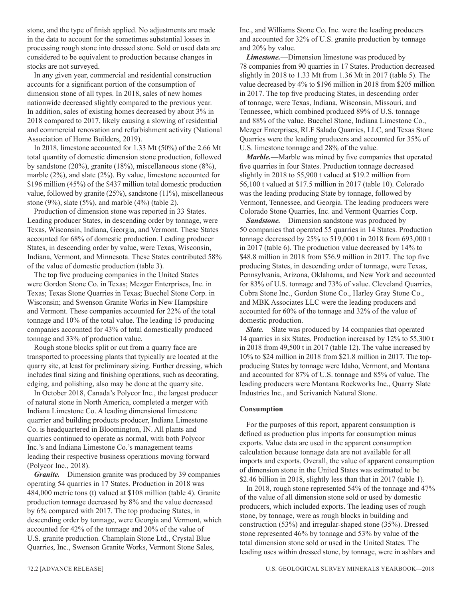stone, and the type of finish applied. No adjustments are made in the data to account for the sometimes substantial losses in processing rough stone into dressed stone. Sold or used data are considered to be equivalent to production because changes in stocks are not surveyed.

In any given year, commercial and residential construction accounts for a significant portion of the consumption of dimension stone of all types. In 2018, sales of new homes nationwide decreased slightly compared to the previous year. In addition, sales of existing homes decreased by about 3% in 2018 compared to 2017, likely causing a slowing of residential and commercial renovation and refurbishment activity (National Association of Home Builders, 2019).

In 2018, limestone accounted for 1.33 Mt (50%) of the 2.66 Mt total quantity of domestic dimension stone production, followed by sandstone (20%), granite (18%), miscellaneous stone (8%), marble (2%), and slate (2%). By value, limestone accounted for \$196 million (45%) of the \$437 million total domestic production value, followed by granite (25%), sandstone (11%), miscellaneous stone (9%), slate (5%), and marble (4%) (table 2).

Production of dimension stone was reported in 33 States. Leading producer States, in descending order by tonnage, were Texas, Wisconsin, Indiana, Georgia, and Vermont. These States accounted for 68% of domestic production. Leading producer States, in descending order by value, were Texas, Wisconsin, Indiana, Vermont, and Minnesota. These States contributed 58% of the value of domestic production (table 3).

The top five producing companies in the United States were Gordon Stone Co. in Texas; Mezger Enterprises, Inc. in Texas; Texas Stone Quarries in Texas; Buechel Stone Corp. in Wisconsin; and Swenson Granite Works in New Hampshire and Vermont. These companies accounted for 22% of the total tonnage and 10% of the total value. The leading 15 producing companies accounted for 43% of total domestically produced tonnage and 33% of production value.

Rough stone blocks split or cut from a quarry face are transported to processing plants that typically are located at the quarry site, at least for preliminary sizing. Further dressing, which includes final sizing and finishing operations, such as decorating, edging, and polishing, also may be done at the quarry site.

In October 2018, Canada's Polycor Inc., the largest producer of natural stone in North America, completed a merger with Indiana Limestone Co. A leading dimensional limestone quarrier and building products producer, Indiana Limestone Co. is headquartered in Bloomington, IN. All plants and quarries continued to operate as normal, with both Polycor Inc.'s and Indiana Limestone Co.'s management teams leading their respective business operations moving forward (Polycor Inc., 2018).

*Granite.*—Dimension granite was produced by 39 companies operating 54 quarries in 17 States. Production in 2018 was 484,000 metric tons (t) valued at \$108 million (table 4). Granite production tonnage decreased by 8% and the value decreased by 6% compared with 2017. The top producing States, in descending order by tonnage, were Georgia and Vermont, which accounted for 42% of the tonnage and 20% of the value of U.S. granite production. Champlain Stone Ltd., Crystal Blue Quarries, Inc., Swenson Granite Works, Vermont Stone Sales,

Inc., and Williams Stone Co. Inc. were the leading producers and accounted for 32% of U.S. granite production by tonnage and 20% by value.

*Limestone.*—Dimension limestone was produced by 78 companies from 90 quarries in 17 States. Production decreased slightly in 2018 to 1.33 Mt from 1.36 Mt in 2017 (table 5). The value decreased by 4% to \$196 million in 2018 from \$205 million in 2017. The top five producing States, in descending order of tonnage, were Texas, Indiana, Wisconsin, Missouri, and Tennessee, which combined produced 89% of U.S. tonnage and 88% of the value. Buechel Stone, Indiana Limestone Co., Mezger Enterprises, RLF Salado Quarries, LLC, and Texas Stone Quarries were the leading producers and accounted for 35% of U.S. limestone tonnage and 28% of the value.

*Marble.*—Marble was mined by five companies that operated five quarries in four States. Production tonnage decreased slightly in 2018 to 55,900 t valued at \$19.2 million from 56,100 t valued at \$17.5 million in 2017 (table 10). Colorado was the leading producing State by tonnage, followed by Vermont, Tennessee, and Georgia. The leading producers were Colorado Stone Quarries, Inc. and Vermont Quarries Corp.

*Sandstone.*—Dimension sandstone was produced by 50 companies that operated 55 quarries in 14 States. Production tonnage decreased by 25% to 519,000 t in 2018 from 693,000 t in 2017 (table 6). The production value decreased by 14% to \$48.8 million in 2018 from \$56.9 million in 2017. The top five producing States, in descending order of tonnage, were Texas, Pennsylvania, Arizona, Oklahoma, and New York and accounted for 83% of U.S. tonnage and 73% of value. Cleveland Quarries, Cobra Stone Inc., Gordon Stone Co., Harley Gray Stone Co., and MBK Associates LLC were the leading producers and accounted for 60% of the tonnage and 32% of the value of domestic production.

*Slate.*—Slate was produced by 14 companies that operated 14 quarries in six States. Production increased by 12% to 55,300 t in 2018 from 49,500 t in 2017 (table 12). The value increased by 10% to \$24 million in 2018 from \$21.8 million in 2017. The topproducing States by tonnage were Idaho, Vermont, and Montana and accounted for 87% of U.S. tonnage and 85% of value. The leading producers were Montana Rockworks Inc., Quarry Slate Industries Inc., and Scrivanich Natural Stone.

#### **Consumption**

For the purposes of this report, apparent consumption is defined as production plus imports for consumption minus exports. Value data are used in the apparent consumption calculation because tonnage data are not available for all imports and exports. Overall, the value of apparent consumption of dimension stone in the United States was estimated to be \$2.46 billion in 2018, slightly less than that in 2017 (table 1).

In 2018, rough stone represented 54% of the tonnage and 47% of the value of all dimension stone sold or used by domestic producers, which included exports. The leading uses of rough stone, by tonnage, were as rough blocks in building and construction (53%) and irregular-shaped stone (35%). Dressed stone represented 46% by tonnage and 53% by value of the total dimension stone sold or used in the United States. The leading uses within dressed stone, by tonnage, were in ashlars and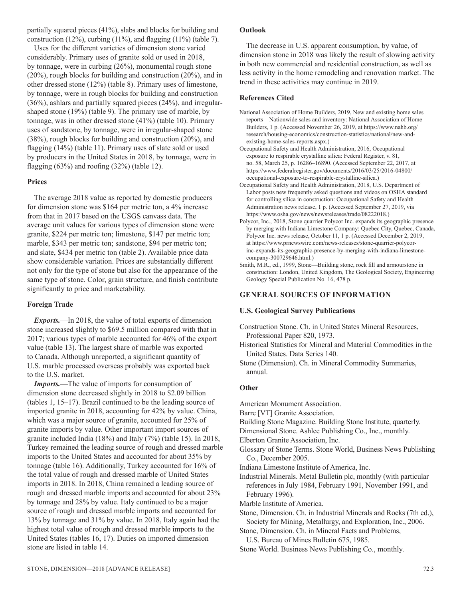partially squared pieces (41%), slabs and blocks for building and construction (12%), curbing (11%), and flagging (11%) (table 7).

Uses for the different varieties of dimension stone varied considerably. Primary uses of granite sold or used in 2018, by tonnage, were in curbing (26%), monumental rough stone (20%), rough blocks for building and construction (20%), and in other dressed stone (12%) (table 8). Primary uses of limestone, by tonnage, were in rough blocks for building and construction (36%), ashlars and partially squared pieces (24%), and irregularshaped stone (19%) (table 9). The primary use of marble, by tonnage, was in other dressed stone (41%) (table 10). Primary uses of sandstone, by tonnage, were in irregular-shaped stone (38%), rough blocks for building and construction (20%), and flagging (14%) (table 11). Primary uses of slate sold or used by producers in the United States in 2018, by tonnage, were in flagging (63%) and roofing (32%) (table 12).

#### **Prices**

The average 2018 value as reported by domestic producers for dimension stone was \$164 per metric ton, a 4% increase from that in 2017 based on the USGS canvass data. The average unit values for various types of dimension stone were granite, \$224 per metric ton; limestone, \$147 per metric ton; marble, \$343 per metric ton; sandstone, \$94 per metric ton; and slate, \$434 per metric ton (table 2). Available price data show considerable variation. Prices are substantially different not only for the type of stone but also for the appearance of the same type of stone. Color, grain structure, and finish contribute significantly to price and marketability.

#### **Foreign Trade**

*Exports.*—In 2018, the value of total exports of dimension stone increased slightly to \$69.5 million compared with that in 2017; various types of marble accounted for 46% of the export value (table 13). The largest share of marble was exported to Canada. Although unreported, a significant quantity of U.S. marble processed overseas probably was exported back to the U.S. market.

*Imports.*—The value of imports for consumption of dimension stone decreased slightly in 2018 to \$2.09 billion (tables 1, 15–17). Brazil continued to be the leading source of imported granite in 2018, accounting for 42% by value. China, which was a major source of granite, accounted for 25% of granite imports by value. Other important import sources of granite included India (18%) and Italy (7%) (table 15). In 2018, Turkey remained the leading source of rough and dressed marble imports to the United States and accounted for about 35% by tonnage (table 16). Additionally, Turkey accounted for 16% of the total value of rough and dressed marble of United States imports in 2018. In 2018, China remained a leading source of rough and dressed marble imports and accounted for about 23% by tonnage and 28% by value. Italy continued to be a major source of rough and dressed marble imports and accounted for 13% by tonnage and 31% by value. In 2018, Italy again had the highest total value of rough and dressed marble imports to the United States (tables 16, 17). Duties on imported dimension stone are listed in table 14.

#### **Outlook**

The decrease in U.S. apparent consumption, by value, of dimension stone in 2018 was likely the result of slowing activity in both new commercial and residential construction, as well as less activity in the home remodeling and renovation market. The trend in these activities may continue in 2019.

#### **References Cited**

- National Association of Home Builders, 2019, New and existing home sales reports—Nationwide sales and inventory: National Association of Home Builders, 1 p. (Accessed November 26, 2019, at https://www.nahb.org/ research/housing-economics/construction-statistics/national/new-andexisting-home-sales-reports.aspx.)
- Occupational Safety and Health Administration, 2016, Occupational exposure to respirable crystalline silica: Federal Register, v. 81, no. 58, March 25, p. 16286‒16890. (Accessed September 22, 2017, at https://www.federalregister.gov/documents/2016/03/25/2016-04800/ occupational-exposure-to-respirable-crystalline-silica.)
- Occupational Safety and Health Administration, 2018, U.S. Department of Labor posts new frequently asked questions and videos on OSHA standard for controlling silica in construction: Occupational Safety and Health Administration news release, 1 p. (Accessed September 27, 2019, via https://www.osha.gov/news/newsreleases/trade/08222018.)
- Polycor, Inc., 2018, Stone quarrier Polycor Inc. expands its geographic presence by merging with Indiana Limestone Company: Quebec City, Quebec, Canada, Polycor Inc. news release, October 11, 1 p. (Accessed December 2, 2019, at https://www.prnewswire.com/news-releases/stone-quarrier-polycorinc-expands-its-geographic-presence-by-merging-with-indiana-limestonecompany-300729646.html.)
- Smith, M.R., ed., 1999, Stone—Building stone, rock fill and armourstone in construction: London, United Kingdom, The Geological Society, Engineering Geology Special Publication No. 16, 478 p.

#### **GENERAL SOURCES OF INFORMATION**

#### **U.S. Geological Survey Publications**

Construction Stone. Ch. in United States Mineral Resources, Professional Paper 820, 1973.

Historical Statistics for Mineral and Material Commodities in the United States. Data Series 140.

Stone (Dimension). Ch. in Mineral Commodity Summaries, annual.

#### **Other**

American Monument Association.

Barre [VT] Granite Association.

Building Stone Magazine. Building Stone Institute, quarterly.

- Dimensional Stone. Ashlee Publishing Co., Inc., monthly.
- Elberton Granite Association, Inc.
- Glossary of Stone Terms. Stone World, Business News Publishing Co., December 2005.

Indiana Limestone Institute of America, Inc.

Industrial Minerals. Metal Bulletin plc, monthly (with particular references in July 1984, February 1991, November 1991, and February 1996).

Marble Institute of America.

Stone, Dimension. Ch. in Industrial Minerals and Rocks (7th ed.), Society for Mining, Metallurgy, and Exploration, Inc., 2006.

Stone, Dimension. Ch. in Mineral Facts and Problems,

U.S. Bureau of Mines Bulletin 675, 1985.

Stone World. Business News Publishing Co., monthly.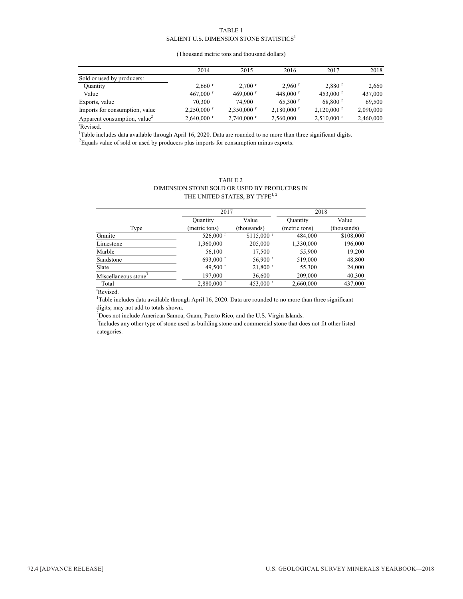#### TABLE 1 SALIENT U.S. DIMENSION STONE STATISTICS $^1$

#### (Thousand metric tons and thousand dollars)

|                                          | 2014                     | 2015                     | 2016                     | 2017                     | 2018      |
|------------------------------------------|--------------------------|--------------------------|--------------------------|--------------------------|-----------|
| Sold or used by producers:               |                          |                          |                          |                          |           |
| Quantity                                 | $2.660$ <sup>r</sup>     | $2.700$ <sup>r</sup>     | $2.960$ <sup>r</sup>     | $2,880$ <sup>r</sup>     | 2,660     |
| Value                                    | 467,000 $r$              | $469,000$ $r$            | 448,000 $r$              | 453,000 $^{\rm r}$       | 437,000   |
| Exports, value                           | 70,300                   | 74,900                   | $65,300$ <sup>r</sup>    | $68,800$ <sup>r</sup>    | 69.500    |
| Imports for consumption, value           | $2.250,000$ <sup>r</sup> | $2,350,000$ <sup>r</sup> | $2,180,000$ <sup>r</sup> | $2,120,000$ <sup>r</sup> | 2,090,000 |
| Apparent consumption, value <sup>2</sup> | $2,640,000$ <sup>r</sup> | $2,740,000$ <sup>r</sup> | 2,560,000                | $2,510,000$ <sup>r</sup> | 2,460,000 |

r Revised.

<sup>1</sup>Table includes data available through April 16, 2020. Data are rounded to no more than three significant digits.

 $2$  Equals value of sold or used by producers plus imports for consumption minus exports.

#### TABLE 2 DIMENSION STONE SOLD OR USED BY PRODUCERS IN THE UNITED STATES, BY TYPE<sup>1,2</sup>

|                                  | 2017                     |                         | 2018          |             |  |
|----------------------------------|--------------------------|-------------------------|---------------|-------------|--|
|                                  | Quantity                 | Value                   | Quantity      | Value       |  |
| Type                             | (metric tons)            | (thousands)             | (metric tons) | (thousands) |  |
| Granite                          | 526,000 $^{\rm r}$       | $$115,000$ <sup>r</sup> | 484,000       | \$108,000   |  |
| Limestone                        | 1,360,000                | 205,000                 | 1,330,000     | 196,000     |  |
| Marble                           | 56,100                   | 17,500                  | 55,900        | 19,200      |  |
| Sandstone                        | 693,000 $^{\rm r}$       | $56,900$ r              | 519,000       | 48,800      |  |
| Slate                            | 49,500 $r$               | $21,800$ <sup>r</sup>   | 55,300        | 24,000      |  |
| Miscellaneous stone <sup>3</sup> | 197,000                  | 36,600                  | 209,000       | 40,300      |  |
| Total                            | $2,880,000$ <sup>r</sup> | 453,000 $^{\rm r}$      | 2,660,000     | 437,000     |  |

r Revised.

<sup>1</sup>Table includes data available through April 16, 2020. Data are rounded to no more than three significant digits; may not add to totals shown.

 $2$ Does not include American Samoa, Guam, Puerto Rico, and the U.S. Virgin Islands.

<sup>3</sup>Includes any other type of stone used as building stone and commercial stone that does not fit other listed categories.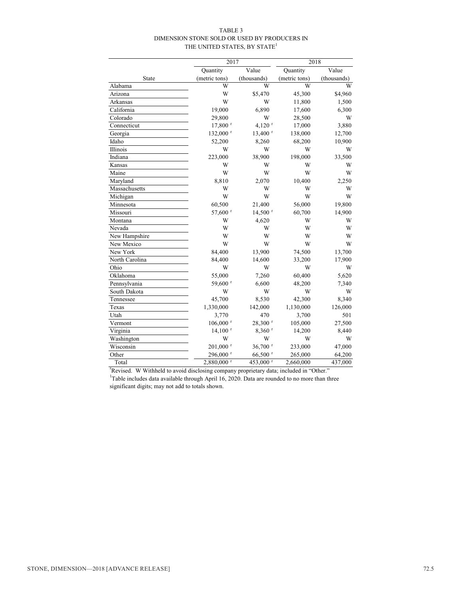#### TABLE 3 DIMENSION STONE SOLD OR USED BY PRODUCERS IN THE UNITED STATES, BY STATE<sup>1</sup>

|                | 2017                   |                       | 2018          |             |  |  |
|----------------|------------------------|-----------------------|---------------|-------------|--|--|
|                | Quantity               | Value                 | Quantity      | Value       |  |  |
| State          | (metric tons)          | (thousands)           | (metric tons) | (thousands) |  |  |
| Alabama        | W                      | W                     | W             | W           |  |  |
| Arizona        | W                      | \$5,470               | 45,300        | \$4,960     |  |  |
| Arkansas       | W                      | W                     | 11,800        | 1,500       |  |  |
| California     | 19,000                 | 6,890                 | 17,600        | 6,300       |  |  |
| Colorado       | 29,800                 | W                     | 28,500        | W           |  |  |
| Connecticut    | 17,800 r               | $4,120$ <sup>r</sup>  | 17,000        | 3,880       |  |  |
| Georgia        | 132,000 $r$            | $13,400$ <sup>r</sup> | 138,000       | 12,700      |  |  |
| Idaho          | 52,200                 | 8,260                 | 68,200        | 10,900      |  |  |
| Illinois       | W                      | W                     | W             | W           |  |  |
| Indiana        | 223,000                | 38,900                | 198,000       | 33,500      |  |  |
| Kansas         | W                      | W                     | W             | W           |  |  |
| Maine          | W                      | W                     | W             | W           |  |  |
| Maryland       | 8,810                  | 2,070                 | 10,400        | 2,250       |  |  |
| Massachusetts  | W                      | W                     | W             | W           |  |  |
| Michigan       | W                      | W                     | W             | W           |  |  |
| Minnesota      | 60,500                 | 21,400                | 56,000        | 19,800      |  |  |
| Missouri       | 57,600 r               | $14,500$ <sup>r</sup> | 60,700        | 14,900      |  |  |
| Montana        | W                      | 4,620                 | W             | W           |  |  |
| Nevada         | W                      | W                     | W             | W           |  |  |
| New Hampshire  | W                      | W                     | W             | W           |  |  |
| New Mexico     | W                      | W                     | W             | W           |  |  |
| New York       | 84,400                 | 13,900                | 74,500        | 13,700      |  |  |
| North Carolina | 84,400                 | 14,600                | 33,200        | 17,900      |  |  |
| Ohio           | W                      | W                     | W             | W           |  |  |
| Oklahoma       | 55,000                 | 7,260                 | 60,400        | 5,620       |  |  |
| Pennsylvania   | 59,600 r               | 6,600                 | 48,200        | 7,340       |  |  |
| South Dakota   | W                      | W                     | W             | W           |  |  |
| Tennessee      | 45,700                 | 8,530                 | 42,300        | 8,340       |  |  |
| Texas          | 1,330,000              | 142,000               | 1,130,000     | 126,000     |  |  |
| Utah           | 3,770                  | 470                   | 3,700         | 501         |  |  |
| Vermont        | $106,000$ <sup>r</sup> | 28,300 r              | 105,000       | 27,500      |  |  |
| Virginia       | $14,100$ <sup>r</sup>  | $8,360$ <sup>r</sup>  | 14,200        | 8,440       |  |  |
| Washington     | W                      | W                     | W             | W           |  |  |
| Wisconsin      | $201,000$ <sup>r</sup> | 36,700 r              | 233,000       | 47,000      |  |  |
| Other          | $296,000$ <sup>r</sup> | 66,500 <sup>r</sup>   | 265,000       | 64,200      |  |  |
| Total          | 2,880,000 r            | 453,000 r             | 2,660,000     | 437,000     |  |  |

r Revised. W Withheld to avoid disclosing company proprietary data; included in "Other." <sup>1</sup>Table includes data available through April 16, 2020. Data are rounded to no more than three significant digits; may not add to totals shown.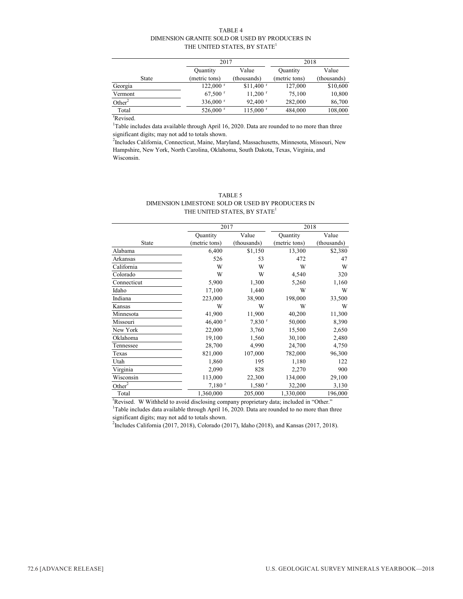#### TABLE 4 DIMENSION GRANITE SOLD OR USED BY PRODUCERS IN THE UNITED STATES, BY STATE<sup>1</sup>

|                    | 2017                   |                        | 2018          |             |
|--------------------|------------------------|------------------------|---------------|-------------|
|                    | Quantity               | Value                  | Quantity      | Value       |
| <b>State</b>       | (metric tons)          | (thousands)            | (metric tons) | (thousands) |
| Georgia            | $122,000$ <sup>r</sup> | $$11,400$ <sup>r</sup> | 127,000       | \$10,600    |
| Vermont            | $67,500$ <sup>r</sup>  | $11,200$ <sup>r</sup>  | 75,100        | 10,800      |
| Other <sup>2</sup> | 336,000 r              | $92,400$ <sup>r</sup>  | 282,000       | 86,700      |
| Total              | $526,000$ <sup>r</sup> | $115,000$ <sup>r</sup> | 484,000       | 108,000     |

r Revised.

<sup>1</sup>Table includes data available through April 16, 2020. Data are rounded to no more than three significant digits; may not add to totals shown.

2 Includes California, Connecticut, Maine, Maryland, Massachusetts, Minnesota, Missouri, New Hampshire, New York, North Carolina, Oklahoma, South Dakota, Texas, Virginia, and Wisconsin.

#### TABLE 5 DIMENSION LIMESTONE SOLD OR USED BY PRODUCERS IN THE UNITED STATES, BY STATE<sup>1</sup>

|                    | 2017                  |                      | 2018          |             |  |
|--------------------|-----------------------|----------------------|---------------|-------------|--|
|                    | Quantity              | Value                | Quantity      | Value       |  |
| State              | (metric tons)         | (thousands)          | (metric tons) | (thousands) |  |
| Alabama            | 6,400                 | \$1,150              | 13,300        | \$2,380     |  |
| Arkansas           | 526                   | 53                   | 472           | 47          |  |
| California         | W                     | W                    | W             | W           |  |
| Colorado           | W                     | W                    | 4,540         | 320         |  |
| Connecticut        | 5,900                 | 1,300                | 5,260         | 1,160       |  |
| Idaho              | 17,100                | 1,440                | W             | W           |  |
| Indiana            | 223,000               | 38,900               | 198,000       | 33,500      |  |
| Kansas             | W                     | W                    | W             | W           |  |
| Minnesota          | 41,900                | 11,900               | 40,200        | 11,300      |  |
| Missouri           | $46,400$ <sup>r</sup> | $7,830$ <sup>r</sup> | 50,000        | 8,390       |  |
| New York           | 22,000                | 3,760                | 15,500        | 2,650       |  |
| Oklahoma           | 19,100                | 1,560                | 30,100        | 2,480       |  |
| Tennessee          | 28,700                | 4,990                | 24,700        | 4,750       |  |
| Texas              | 821,000               | 107,000              | 782,000       | 96,300      |  |
| Utah               | 1,860                 | 195                  | 1,180         | 122         |  |
| Virginia           | 2,090                 | 828                  | 2,270         | 900         |  |
| Wisconsin          | 113,000               | 22,300               | 134,000       | 29,100      |  |
| Other <sup>2</sup> | $7,180$ <sup>r</sup>  | $1,580$ <sup>r</sup> | 32,200        | 3,130       |  |
| Total              | 1,360,000             | 205,000              | 1,330,000     | 196,000     |  |

<sup>1</sup>Table includes data available through April 16, 2020. Data are rounded to no more than three significant digits; may not add to totals shown. <sup>r</sup>Revised. W Withheld to avoid disclosing company proprietary data; included in "Other."

<sup>2</sup>Includes California (2017, 2018), Colorado (2017), Idaho (2018), and Kansas (2017, 2018).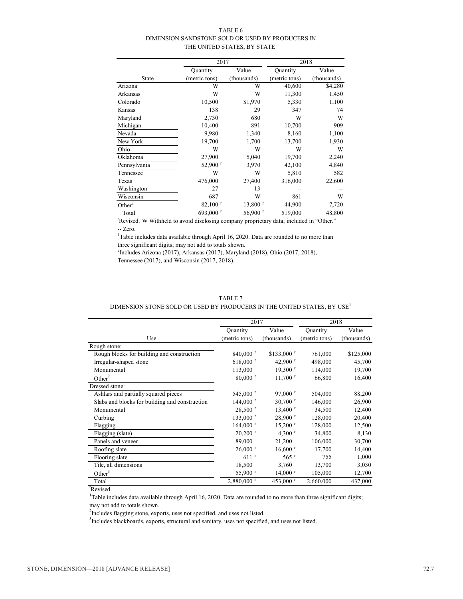#### TABLE 6 DIMENSION SANDSTONE SOLD OR USED BY PRODUCERS IN THE UNITED STATES, BY STATE<sup>1</sup>

|                    | 2017                  |                       | 2018          |             |  |
|--------------------|-----------------------|-----------------------|---------------|-------------|--|
|                    | Quantity              | Value                 | Quantity      | Value       |  |
| State              | (metric tons)         | (thousands)           | (metric tons) | (thousands) |  |
| Arizona            | W                     | W                     | 40,600        | \$4,280     |  |
| Arkansas           | W                     | W                     | 11,300        | 1,450       |  |
| Colorado           | 10,500                | \$1,970               | 5,330         | 1,100       |  |
| Kansas             | 138                   | 29                    | 347           | 74          |  |
| Maryland           | 2,730                 | 680                   | W             | W           |  |
| Michigan           | 10,400                | 891                   | 10,700        | 909         |  |
| Nevada             | 9,980                 | 1,340                 | 8,160         | 1,100       |  |
| New York           | 19,700                | 1,700                 | 13,700        | 1,930       |  |
| Ohio               | W                     | W                     | W             | W           |  |
| Oklahoma           | 27,900                | 5,040                 | 19,700        | 2,240       |  |
| Pennsylvania       | $52,900$ <sup>r</sup> | 3,970                 | 42,100        | 4,840       |  |
| Tennessee          | W                     | W                     | 5,810         | 582         |  |
| Texas              | 476,000               | 27,400                | 316,000       | 22,600      |  |
| Washington         | 27                    | 13                    |               |             |  |
| Wisconsin          | 687                   | W                     | 861           | W           |  |
| Other <sup>2</sup> | $82,100$ <sup>r</sup> | $13,800$ <sup>r</sup> | 44,900        | 7,720       |  |
| Total              | 693,000 r             | $56,900$ <sup>r</sup> | 519,000       | 48,800      |  |

<sup>r</sup>Revised. W Withheld to avoid disclosing company proprietary data; included in "Other." -- Zero.

<sup>1</sup>Table includes data available through April 16, 2020. Data are rounded to no more than three significant digits; may not add to totals shown.

2 Includes Arizona (2017), Arkansas (2017), Maryland (2018), Ohio (2017, 2018), Tennessee (2017), and Wisconsin (2017, 2018).

|--|--|

#### DIMENSION STONE SOLD OR USED BY PRODUCERS IN THE UNITED STATES, BY  $\mathrm{USE}^1$

|                                                | 2017                     |                         | 2018            |             |
|------------------------------------------------|--------------------------|-------------------------|-----------------|-------------|
|                                                | Quantity                 | Value                   | <b>Quantity</b> | Value       |
| Use                                            | (metric tons)            | (thousands)             | (metric tons)   | (thousands) |
| Rough stone:                                   |                          |                         |                 |             |
| Rough blocks for building and construction     | $840,000$ <sup>r</sup>   | $$133,000$ <sup>r</sup> | 761,000         | \$125,000   |
| Irregular-shaped stone                         | $618,000$ <sup>r</sup>   | 42,900 $^{\rm r}$       | 498,000         | 45,700      |
| Monumental                                     | 113,000                  | $19,300$ <sup>r</sup>   | 114,000         | 19,700      |
| Other <sup>2</sup>                             | $80,000$ <sup>r</sup>    | $11,700$ <sup>r</sup>   | 66,800          | 16,400      |
| Dressed stone:                                 |                          |                         |                 |             |
| Ashlars and partially squared pieces           | 545,000 r                | $97,000$ <sup>r</sup>   | 504,000         | 88,200      |
| Slabs and blocks for building and construction | $144,000$ <sup>r</sup>   | $30,700$ <sup>r</sup>   | 146,000         | 26,900      |
| Monumental                                     | $28,500$ <sup>r</sup>    | $13,400$ <sup>r</sup>   | 34,500          | 12,400      |
| Curbing                                        | 133,000 r                | $28,900$ <sup>r</sup>   | 128,000         | 20,400      |
| Flagging                                       | $164,000$ <sup>r</sup>   | $15,200$ <sup>r</sup>   | 128,000         | 12,500      |
| Flagging (slate)                               | $20,200$ <sup>r</sup>    | 4,300 $r$               | 34,800          | 8,130       |
| Panels and veneer                              | 89,000                   | 21,200                  | 106,000         | 30,700      |
| Roofing slate                                  | $26,000$ <sup>r</sup>    | $16,600$ <sup>r</sup>   | 17,700          | 14,400      |
| Flooring slate                                 | $611$ <sup>r</sup>       | $565$ <sup>r</sup>      | 755             | 1,000       |
| Tile, all dimensions                           | 18,500                   | 3,760                   | 13,700          | 3,030       |
| Other $3$                                      | 55,900 r                 | $14,000$ <sup>r</sup>   | 105,000         | 12,700      |
| Total                                          | $2,880,000$ <sup>r</sup> | 453,000 $^{\rm r}$      | 2,660,000       | 437,000     |

r Revised.

<sup>1</sup>Table includes data available through April 16, 2020. Data are rounded to no more than three significant digits; may not add to totals shown.

 $2$ Includes flagging stone, exports, uses not specified, and uses not listed.

<sup>3</sup>Includes blackboards, exports, structural and sanitary, uses not specified, and uses not listed.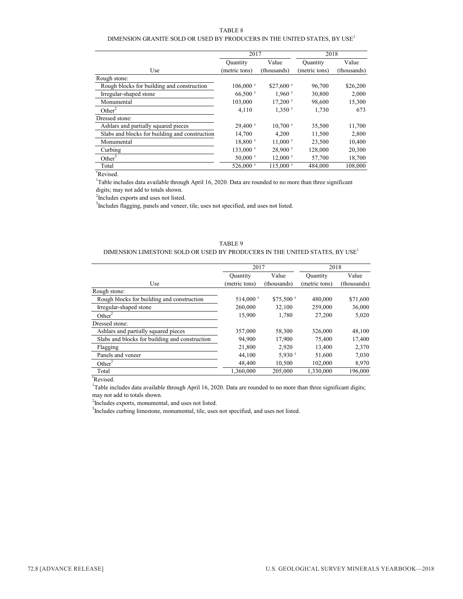#### TABLE 8

#### DIMENSION GRANITE SOLD OR USED BY PRODUCERS IN THE UNITED STATES, BY  ${\rm USE}^1$

|                                                | 2017                   |                        | 2018          |             |
|------------------------------------------------|------------------------|------------------------|---------------|-------------|
|                                                | Quantity               | Value                  | Quantity      | Value       |
| Use                                            | (metric tons)          | (thousands)            | (metric tons) | (thousands) |
| Rough stone:                                   |                        |                        |               |             |
| Rough blocks for building and construction     | $106,000$ <sup>r</sup> | $$27,600$ r            | 96,700        | \$26,200    |
| Irregular-shaped stone                         | $66,500$ r             | $1,960$ <sup>r</sup>   | 30,800        | 2,000       |
| Monumental                                     | 103,000                | $17.200$ <sup>r</sup>  | 98,600        | 15,300      |
| Other <sup>2</sup>                             | 4,110                  | $1,350$ <sup>r</sup>   | 1,730         | 673         |
| Dressed stone:                                 |                        |                        |               |             |
| Ashlars and partially squared pieces           | $29.400$ <sup>r</sup>  | $10,700$ <sup>r</sup>  | 35,500        | 11,700      |
| Slabs and blocks for building and construction | 14,700                 | 4.200                  | 11,500        | 2,800       |
| Monumental                                     | $18,800$ <sup>r</sup>  | $11,000$ <sup>r</sup>  | 23,500        | 10,400      |
| Curbing                                        | $133,000$ <sup>r</sup> | $28,900$ <sup>r</sup>  | 128,000       | 20,300      |
| Other <sup>3</sup>                             | $50,000$ r             | $12,000$ <sup>r</sup>  | 57,700        | 18,700      |
| Total                                          | $526,000$ <sup>r</sup> | $115,000$ <sup>r</sup> | 484,000       | 108,000     |

r Revised.

<sup>1</sup>Table includes data available through April 16, 2020. Data are rounded to no more than three significant digits; may not add to totals shown.

<sup>2</sup>Includes exports and uses not listed.

<sup>3</sup>Includes flagging, panels and veneer, tile, uses not specified, and uses not listed.

#### TABLE 9 DIMENSION LIMESTONE SOLD OR USED BY PRODUCERS IN THE UNITED STATES, BY USE<sup>1</sup>

|                                                | 2017                   |                        | 2018          |             |  |
|------------------------------------------------|------------------------|------------------------|---------------|-------------|--|
|                                                | Quantity               | Value                  | Quantity      | Value       |  |
| Use                                            | (metric tons)          | (thousands)            | (metric tons) | (thousands) |  |
| Rough stone:                                   |                        |                        |               |             |  |
| Rough blocks for building and construction     | $514,000$ <sup>r</sup> | $$75,500$ <sup>r</sup> | 480,000       | \$71,600    |  |
| Irregular-shaped stone                         | 260,000                | 32,100                 | 259,000       | 36,000      |  |
| Other <sup>2</sup>                             | 15,900                 | 1,780                  | 27,200        | 5,020       |  |
| Dressed stone:                                 |                        |                        |               |             |  |
| Ashlars and partially squared pieces           | 357,000                | 58,300                 | 326,000       | 48,100      |  |
| Slabs and blocks for building and construction | 94,900                 | 17.900                 | 75,400        | 17.400      |  |
| Flagging                                       | 21,800                 | 2,920                  | 13.400        | 2,370       |  |
| Panels and veneer                              | 44,100                 | $5,930$ <sup>r</sup>   | 51,600        | 7,030       |  |
| Other <sup>3</sup>                             | 48,400                 | 10,500                 | 102,000       | 8,970       |  |
| Total                                          | 1,360,000              | 205,000                | 1,330,000     | 196,000     |  |

r Revised.

<sup>1</sup>Table includes data available through April 16, 2020. Data are rounded to no more than three significant digits; may not add to totals shown.

<sup>2</sup>Includes exports, monumental, and uses not listed.

<sup>3</sup>Includes curbing limestone, monumental, tile, uses not specified, and uses not listed.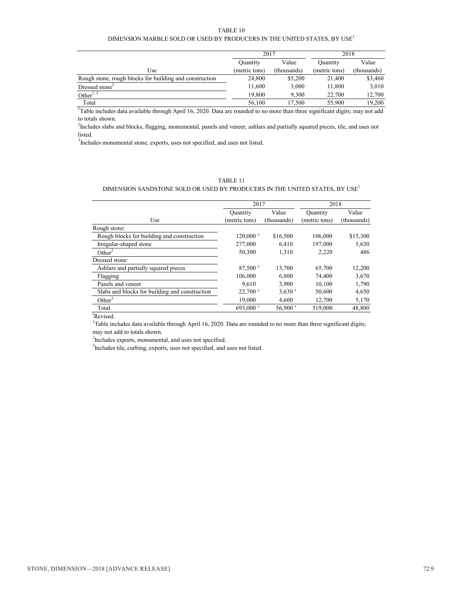#### TABLE 10 DIMENSION MARBLE SOLD OR USED BY PRODUCERS IN THE UNITED STATES, BY USE<sup>1</sup>

|                                                         | 2017          |                                           | 2018          |             |
|---------------------------------------------------------|---------------|-------------------------------------------|---------------|-------------|
|                                                         | Quantity      | Value                                     | Quantity      | Value       |
| Use                                                     | (metric tons) | (thousands)                               | (metric tons) | (thousands) |
| Rough stone, rough blocks for building and construction | 24,800        | \$5,200                                   | 21,400        | \$3,460     |
| Dressed stone <sup>2</sup>                              | 11.600        | 3,000                                     | 11.800        | 3,010       |
| Other <sup>2, 3</sup>                                   | 19.800        | 9.300                                     | 22,700        | 12.700      |
| Total                                                   | 56,100        | 17.500                                    | 55,900        | 19.200      |
| .<br>.                                                  | $\sim$ $\sim$ | $\sim$ $\sim$ $\sim$ $\sim$ $\sim$ $\sim$ | .             | .           |

<sup>1</sup>Table includes data available through April 16, 2020. Data are rounded to no more than three significant digits; may not add to totals shown.

<sup>2</sup>Includes slabs and blocks, flagging, monumental, panels and veneer, ashlars and partially squared pieces, tile, and uses not listed.

<sup>3</sup>Includes monumental stone, exports, uses not specified, and uses not listed.

#### TABLE 11

#### DIMENSION SANDSTONE SOLD OR USED BY PRODUCERS IN THE UNITED STATES, BY  $\mathrm{USE}^1$

|                                                |                        | 2017                  |               | 2018        |
|------------------------------------------------|------------------------|-----------------------|---------------|-------------|
|                                                | Quantity               | Value                 | Quantity      | Value       |
| Use                                            | (metric tons)          | (thousands)           | (metric tons) | (thousands) |
| Rough stone:                                   |                        |                       |               |             |
| Rough blocks for building and construction     | $120,000$ <sup>r</sup> | \$16,500              | 106,000       | \$15,300    |
| Irregular-shaped stone                         | 277,000                | 6.410                 | 197,000       | 5,630       |
| Other <sup>2</sup>                             | 50,300                 | 1.310                 | 2.220         | 486         |
| Dressed stone:                                 |                        |                       |               |             |
| Ashlars and partially squared pieces           | $87,500$ <sup>r</sup>  | 13,700                | 65,700        | 12,200      |
| Flagging                                       | 106,000                | 6.800                 | 74.400        | 3,670       |
| Panels and veneer                              | 9.610                  | 3.900                 | 10.100        | 1,790       |
| Slabs and blocks for building and construction | $22,700$ <sup>r</sup>  | $3,630$ <sup>r</sup>  | 50,600        | 4,650       |
| Other <sup>3</sup>                             | 19.000                 | 4.600                 | 12,700        | 5,170       |
| Total                                          | 693,000 $^{\circ}$     | $56,900$ <sup>r</sup> | 519,000       | 48,800      |

r Revised.

<sup>1</sup>Table includes data available through April 16, 2020. Data are rounded to no more than three significant digits; may not add to totals shown.

 $2$ Includes exports, monumental, and uses not specified.

<sup>3</sup>Includes tile, curbing, exports, uses not specified, and uses not listed.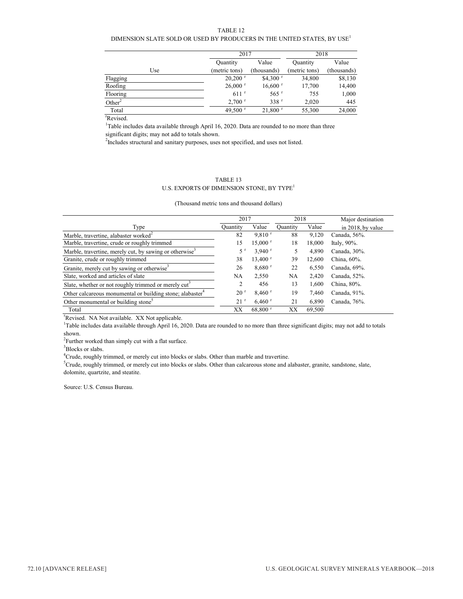TABLE 12

#### DIMENSION SLATE SOLD OR USED BY PRODUCERS IN THE UNITED STATES, BY  $\mathrm{USE}^1$

|                    | 2017                  |                       | 2018          |             |  |
|--------------------|-----------------------|-----------------------|---------------|-------------|--|
|                    | Quantity              | Value                 | Quantity      | Value       |  |
| Use                | (metric tons)         | (thousands)           | (metric tons) | (thousands) |  |
| Flagging           | $20,200$ <sup>r</sup> | $$4,300$ <sup>r</sup> | 34,800        | \$8,130     |  |
| Roofing            | $26,000$ r            | $16,600$ <sup>r</sup> | 17,700        | 14,400      |  |
| Flooring           | $611$ <sup>r</sup>    | $565$ <sup>r</sup>    | 755           | 1,000       |  |
| Other <sup>2</sup> | $2.700$ <sup>r</sup>  | 338 <sup>r</sup>      | 2.020         | 445         |  |
| Total              | 49,500 $r$            | $21,800$ <sup>r</sup> | 55,300        | 24,000      |  |

r Revised.

<sup>1</sup>Table includes data available through April 16, 2020. Data are rounded to no more than three significant digits; may not add to totals shown.

 $2$ Includes structural and sanitary purposes, uses not specified, and uses not listed.

#### TABLE 13

#### U.S. EXPORTS OF DIMENSION STONE, BY TYPE<sup>1</sup>

(Thousand metric tons and thousand dollars)

|                                                                       | 2017            |                       | 2018      |        | Major destination |
|-----------------------------------------------------------------------|-----------------|-----------------------|-----------|--------|-------------------|
| Type                                                                  | Ouantity        | Value                 | Ouantity  | Value  | in 2018, by value |
| Marble, travertine, alabaster worked $2$                              | 82              | 9.810 <sup>r</sup>    | 88        | 9,120  | Canada, 56%.      |
| Marble, travertine, crude or roughly trimmed                          | 15              | $15,000$ <sup>r</sup> | 18        | 18,000 | Italy, $90\%$ .   |
| Marble, travertine, merely cut, by sawing or otherwise <sup>3</sup>   | 5 r             | $3,940$ <sup>r</sup>  |           | 4.890  | Canada, 30%.      |
| Granite, crude or roughly trimmed                                     | 38              | $13,400$ <sup>r</sup> | 39        | 12.600 | China, 60%.       |
| Granite, merely cut by sawing or otherwise <sup>3</sup>               | 26              | $8,680$ <sup>r</sup>  | 22        | 6,550  | Canada, 69%.      |
| Slate, worked and articles of slate                                   | <b>NA</b>       | 2,550                 | <b>NA</b> | 2.420  | Canada, 52%.      |
| Slate, whether or not roughly trimmed or merely cut <sup>3</sup>      | 2               | 456                   | 13        | 1.600  | China, 80%.       |
| Other calcareous monumental or building stone; alabaster <sup>4</sup> | 20 <sup>r</sup> | $8,460$ <sup>r</sup>  | 19        | 7.460  | Canada, 91%.      |
| Other monumental or building stone <sup>3</sup>                       | 21 <sup>r</sup> | $6,460$ <sup>r</sup>  | 21        | 6.890  | Canada, 76%.      |
| Total                                                                 | XX              | $68,800$ <sup>r</sup> | XX        | 69.500 |                   |

<sup>r</sup>Revised. NA Not available. XX Not applicable.

<sup>1</sup>Table includes data available through April 16, 2020. Data are rounded to no more than three significant digits; may not add to totals shown.

 $2$ Further worked than simply cut with a flat surface.

<sup>3</sup>Blocks or slabs.

<sup>4</sup>Crude, roughly trimmed, or merely cut into blocks or slabs. Other than marble and travertine.

<sup>5</sup>Crude, roughly trimmed, or merely cut into blocks or slabs. Other than calcareous stone and alabaster, granite, sandstone, slate, dolomite, quartzite, and steatite.

Source: U.S. Census Bureau.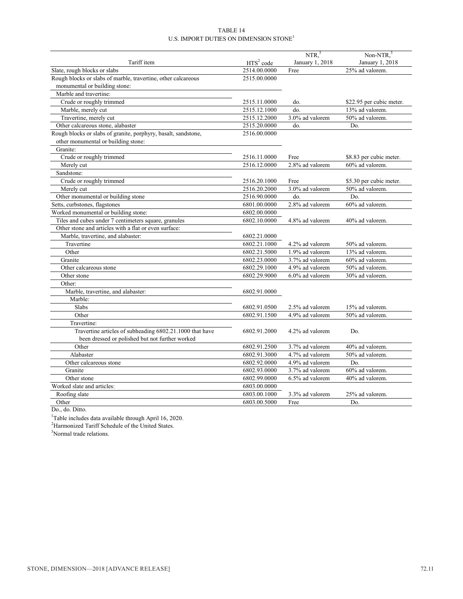#### TABLE 14 U.S. IMPORT DUTIES ON DIMENSION  $\mathbf{STONE}^{1}$

|                                                                |                       | NTR <sup>3</sup> | Non-NTR, <sup>3</sup>    |
|----------------------------------------------------------------|-----------------------|------------------|--------------------------|
| Tariff item                                                    | HTS <sup>2</sup> code | January 1, 2018  | January 1, 2018          |
| Slate, rough blocks or slabs                                   | 2514.00.0000          | Free             | 25% ad valorem.          |
| Rough blocks or slabs of marble, travertine, other calcareous  | 2515.00.0000          |                  |                          |
| monumental or building stone:                                  |                       |                  |                          |
| Marble and travertine:                                         |                       |                  |                          |
| Crude or roughly trimmed                                       | 2515.11.0000          | do.              | \$22.95 per cubic meter. |
| Marble, merely cut                                             | 2515.12.1000          | do.              | 13% ad valorem.          |
| Travertine, merely cut                                         | 2515.12.2000          | 3.0% ad valorem  | 50% ad valorem.          |
| Other calcareous stone, alabaster                              | 2515.20.0000          | do.              | Do.                      |
| Rough blocks or slabs of granite, porphyry, basalt, sandstone, | 2516.00.0000          |                  |                          |
| other monumental or building stone:                            |                       |                  |                          |
| Granite:                                                       |                       |                  |                          |
| Crude or roughly trimmed                                       | 2516.11.0000          | Free             | \$8.83 per cubic meter.  |
| Merely cut                                                     | 2516.12.0000          | 2.8% ad valorem  | 60% ad valorem.          |
| Sandstone:                                                     |                       |                  |                          |
| Crude or roughly trimmed                                       | 2516.20.1000          | Free             | \$5.30 per cubic meter.  |
| Merely cut                                                     | 2516.20.2000          | 3.0% ad valorem  | 50% ad valorem.          |
| Other monumental or building stone                             | 2516.90.0000          | do.              | Do.                      |
| Setts, curbstones, flagstones                                  | 6801.00.0000          | 2.8% ad valorem  | 60% ad valorem.          |
| Worked monumental or building stone:                           | 6802.00.0000          |                  |                          |
| Tiles and cubes under 7 centimeters square, granules           | 6802.10.0000          | 4.8% ad valorem  | 40% ad valorem.          |
| Other stone and articles with a flat or even surface:          |                       |                  |                          |
| Marble, travertine, and alabaster:                             | 6802.21.0000          |                  |                          |
| Travertine                                                     | 6802.21.1000          | 4.2% ad valorem  | 50% ad valorem.          |
| Other                                                          | 6802.21.5000          | 1.9% ad valorem  | 13% ad valorem.          |
| Granite                                                        | 6802.23.0000          | 3.7% ad valorem  | 60% ad valorem.          |
| Other calcareous stone                                         | 6802.29.1000          | 4.9% ad valorem  | 50% ad valorem.          |
| Other stone                                                    | 6802.29.9000          | 6.0% ad valorem  | 30% ad valorem.          |
| Other:                                                         |                       |                  |                          |
| Marble, travertine, and alabaster:                             | 6802.91.0000          |                  |                          |
| Marble:                                                        |                       |                  |                          |
| Slabs                                                          | 6802.91.0500          | 2.5% ad valorem  | 15% ad valorem.          |
| Other                                                          | 6802.91.1500          | 4.9% ad valorem  | 50% ad valorem.          |
| Travertine:                                                    |                       |                  |                          |
| Travertine articles of subheading 6802.21.1000 that have       | 6802.91.2000          | 4.2% ad valorem  | Do.                      |
| been dressed or polished but not further worked                |                       |                  |                          |
| Other                                                          | 6802.91.2500          | 3.7% ad valorem  | 40% ad valorem.          |
| Alabaster                                                      | 6802.91.3000          | 4.7% ad valorem  | 50% ad valorem.          |
| Other calcareous stone                                         | 6802.92.0000          | 4.9% ad valorem  | Do.                      |
| Granite                                                        | 6802.93.0000          | 3.7% ad valorem  | 60% ad valorem.          |
| Other stone                                                    | 6802.99.0000          | 6.5% ad valorem  | 40% ad valorem.          |
| Worked slate and articles:                                     | 6803.00.0000          |                  |                          |
| Roofing slate                                                  | 6803.00.1000          | 3.3% ad valorem  | 25% ad valorem.          |
| Other                                                          | 6803.00.5000          | Free             | Do.                      |
| $D^*$                                                          |                       |                  |                          |

Do., do. Ditto.<br><sup>1</sup>Table includes data available through April 16, 2020.

<sup>2</sup>Harmonized Tariff Schedule of the United States.

<sup>3</sup>Normal trade relations.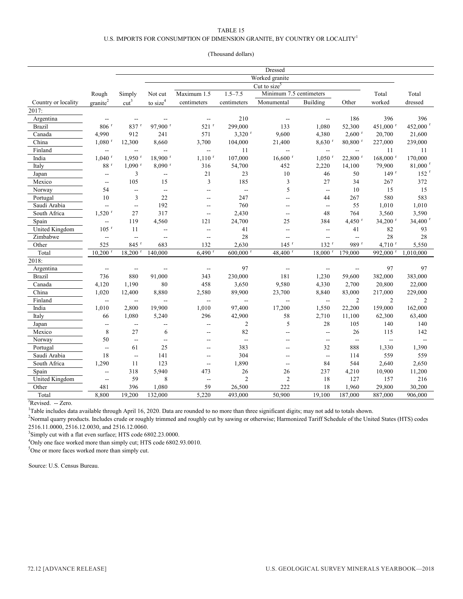#### TABLE 15 U.S. IMPORTS FOR CONSUMPTION OF DIMENSION GRANITE, BY COUNTRY OR LOCALITY<sup>1</sup>

#### (Thousand dollars)

|                       | <b>Dressed</b>           |                          |                          |                          |                        |                          |                          |                          |                        |                       |
|-----------------------|--------------------------|--------------------------|--------------------------|--------------------------|------------------------|--------------------------|--------------------------|--------------------------|------------------------|-----------------------|
|                       |                          | Worked granite           |                          |                          |                        |                          |                          |                          |                        |                       |
|                       |                          | Cut to size <sup>5</sup> |                          |                          |                        |                          |                          |                          |                        |                       |
|                       | Rough                    | Simply                   | Not cut                  | Maximum 1.5              | $1.5 - 7.5$            | Minimum 7.5 centimeters  |                          |                          | Total                  | Total                 |
| Country or locality   | granite <sup>2</sup>     | cut <sup>3</sup>         | to $size4$               | centimeters              | centimeters            | Monumental               | Building                 | Other                    | worked                 | dressed               |
| 2017:                 |                          |                          |                          |                          |                        |                          |                          |                          |                        |                       |
| Argentina             | $\overline{a}$           | $\sim$ $\sim$            | $\overline{a}$           | $\overline{\phantom{a}}$ | 210                    | $\overline{a}$           | $\overline{a}$           | 186                      | 396                    | 396                   |
| <b>Brazil</b>         | $806$ <sup>r</sup>       | $837$ <sup>r</sup>       | 97,900 r                 | $521$ <sup>r</sup>       | 299,000                | 133                      | 1,080                    | 52,300                   | 451,000 r              | 452,000 <sup>r</sup>  |
| Canada                | 4.990                    | 912                      | 241                      | 571                      | $3,320$ <sup>r</sup>   | 9,600                    | 4,380                    | 2.600 <sup>r</sup>       | 20,700                 | 21,600                |
| China                 | $1,080$ <sup>r</sup>     | 12,300                   | 8,660                    | 3,700                    | 104,000                | 21,400                   | $8,630$ <sup>r</sup>     | $80,800$ <sup>r</sup>    | 227,000                | 239,000               |
| Finland               | $\overline{\phantom{a}}$ | $\overline{\phantom{a}}$ | Ξ.                       | $\overline{\phantom{a}}$ | 11                     | $\overline{\phantom{a}}$ | Щ,                       | $\overline{\phantom{a}}$ | 11                     | 11                    |
| India                 | $1,040$ <sup>r</sup>     | $1.950$ <sup>r</sup>     | $18,900$ <sup>r</sup>    | $1,110$ <sup>r</sup>     | 107,000                | $16,600$ <sup>r</sup>    | $1,050$ <sup>r</sup>     | 22,800 r                 | $168,000$ <sup>r</sup> | 170,000               |
| Italy                 | 88r                      | $1,090$ <sup>r</sup>     | $8,090$ <sup>r</sup>     | 316                      | 54,700                 | 452                      | 2,220                    | 14,100                   | 79,900                 | $81,000$ <sup>r</sup> |
| Japan                 | $\qquad \qquad -$        | 3                        | $\overline{\phantom{a}}$ | 21                       | 23                     | 10                       | 46                       | 50                       | 149r                   | 152 <sup>r</sup>      |
| Mexico                | $\overline{\phantom{a}}$ | 105                      | 15                       | 3                        | 185                    | 3                        | 27                       | 34                       | 267                    | 372                   |
| Norway                | 54                       | $\overline{a}$           | $\overline{a}$           | $-$                      | $\overline{a}$         | 5                        | $\overline{\phantom{a}}$ | 10                       | 15                     | 15                    |
| Portugal              | 10                       | 3                        | 22                       | $\sim$ $\sim$            | 247                    | $\sim$ $\sim$            | 44                       | 267                      | 580                    | 583                   |
| Saudi Arabia          | --                       | $\overline{a}$           | 192                      | $\overline{\phantom{a}}$ | 760                    | $\overline{\phantom{a}}$ | $\overline{\phantom{a}}$ | 55                       | 1,010                  | 1,010                 |
| South Africa          | $1,520$ <sup>r</sup>     | 27                       | 317                      | $-$                      | 2,430                  | $\overline{a}$           | 48                       | 764                      | 3,560                  | 3,590                 |
| Spain                 | --                       | 119                      | 4,560                    | 121                      | 24,700                 | 25                       | 384                      | 4,450 $r$                | $34,200$ <sup>r</sup>  | 34,400 r              |
| <b>United Kingdom</b> | $105$ <sup>r</sup>       | 11                       | --                       | $\overline{a}$           | 41                     | $\overline{\phantom{a}}$ | Ξ.                       | 41                       | 82                     | 93                    |
| Zimbabwe              | $\overline{\phantom{a}}$ | $\overline{a}$           | 44                       | $\overline{\phantom{a}}$ | 28                     | $\overline{\phantom{a}}$ | цц.                      | $\overline{a}$           | 28                     | 28                    |
| Other                 | 525                      | 845 <sup>r</sup>         | 683                      | 132                      | 2,630                  | $145$ <sup>r</sup>       | 132 r                    | 989 <sup>r</sup>         | $4,710$ <sup>r</sup>   | 5,550                 |
| Total                 | $10,200$ <sup>r</sup>    | $18,200$ <sup>r</sup>    | 140,000                  | $6,490$ <sup>r</sup>     | $600,000$ <sup>r</sup> | 48,400 r                 | $18,000$ <sup>r</sup>    | 179,000                  | 992,000 r              | 1,010,000             |
| 2018:                 |                          |                          |                          |                          |                        |                          |                          |                          |                        |                       |
| Argentina             | $\overline{\phantom{a}}$ | $-$                      | --                       | $\overline{\phantom{a}}$ | 97                     | $\sim$                   | $\overline{\phantom{a}}$ | $\overline{\phantom{a}}$ | 97                     | 97                    |
| <b>Brazil</b>         | 736                      | 880                      | 91,000                   | 343                      | 230,000                | 181                      | 1,230                    | 59,600                   | 382,000                | 383,000               |
| Canada                | 4,120                    | 1,190                    | $80\,$                   | 458                      | 3,650                  | 9,580                    | 4,330                    | 2,700                    | 20,800                 | 22,000                |
| China                 | 1,020                    | 12,400                   | 8,880                    | 2,580                    | 89,900                 | 23,700                   | 8,840                    | 83,000                   | 217,000                | 229,000               |
| Finland               | $\overline{a}$           | $\overline{a}$           | $\overline{\phantom{a}}$ | $\overline{\phantom{a}}$ | $\overline{a}$         | Ξ.                       | Ξ.                       | $\overline{2}$           | $\overline{2}$         | $\overline{c}$        |
| India                 | 1,010                    | 2,800                    | 19,900                   | 1,010                    | 97,400                 | 17,200                   | 1,550                    | 22,200                   | 159,000                | 162,000               |
| Italy                 | 66                       | 1,080                    | 5,240                    | 296                      | 42,900                 | 58                       | 2,710                    | 11,100                   | 62,300                 | 63,400                |
| Japan                 | $\overline{\phantom{a}}$ | $\overline{\phantom{a}}$ | --                       | $\overline{\phantom{a}}$ | $\overline{2}$         | 5                        | 28                       | 105                      | 140                    | 140                   |
| Mexico                | $\,$ 8 $\,$              | 27                       | 6                        | $\overline{a}$           | 82                     | Ξ.                       | ω.                       | 26                       | 115                    | 142                   |
| Norway                | 50                       | $\overline{a}$           | $\overline{\phantom{a}}$ | $\overline{a}$           | $\overline{a}$         | $-$                      | $\overline{\phantom{a}}$ | $\overline{a}$           | $\overline{a}$         |                       |
| Portugal              | $\overline{\phantom{a}}$ | 61                       | 25                       | $\overline{a}$           | 383                    | $-$                      | 32                       | 888                      | 1,330                  | 1,390                 |
| Saudi Arabia          | 18                       | $\overline{a}$           | 141                      | $\overline{a}$           | 304                    | $\sim$                   | $\overline{\phantom{a}}$ | 114                      | 559                    | 559                   |
| South Africa          | 1,290                    | 11                       | 123                      | $\sim$ $\sim$            | 1,890                  | $\overline{a}$           | 84                       | 544                      | 2,640                  | 2,650                 |
| Spain                 | $\overline{\phantom{a}}$ | 318                      | 5,940                    | 473                      | 26                     | 26                       | 237                      | 4,210                    | 10,900                 | 11,200                |
| United Kingdom        | $-$                      | 59                       | 8                        | $\overline{\phantom{a}}$ | $\overline{2}$         | $\overline{c}$           | 18                       | 127                      | 157                    | 216                   |
| Other                 | 481                      | 396                      | 1,080                    | 59                       | 26,500                 | 222                      | 18                       | 1,960                    | 29,800                 | 30,200                |
| Total                 | 8,800                    | 19,200                   | 132,000                  | 5,220                    | 493,000                | 50,900                   | 19,100                   | 187,000                  | 887,000                | 906,000               |

<sup>r</sup>Revised. -- Zero.

<sup>1</sup>Table includes data available through April 16, 2020. Data are rounded to no more than three significant digits; may not add to totals shown.

<sup>2</sup>Normal quarry products. Includes crude or roughly trimmed and roughly cut by sawing or otherwise; Harmonized Tariff Schedule of the United States (HTS) codes 2516.11.0000, 2516.12.0030, and 2516.12.0060.

<sup>3</sup>Simply cut with a flat even surface; HTS code 6802.23.0000.

<sup>4</sup>Only one face worked more than simply cut; HTS code 6802.93.0010.

 $5$ One or more faces worked more than simply cut.

Source: U.S. Census Bureau.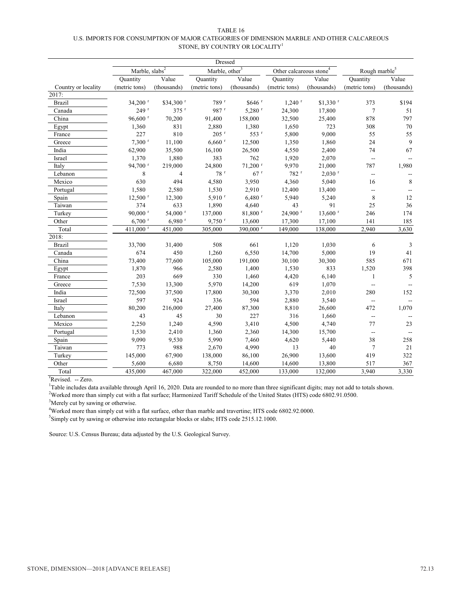| TABLE 16                                                                                  |
|-------------------------------------------------------------------------------------------|
| U.S. IMPORTS FOR CONSUMPTION OF MAJOR CATEGORIES OF DIMENSION MARBLE AND OTHER CALCAREOUS |
| STONE, BY COUNTRY OR LOCALITY <sup>1</sup>                                                |

|                     |                            |                      | Dressed                    |                       |                                     |                       |                          |             |  |
|---------------------|----------------------------|----------------------|----------------------------|-----------------------|-------------------------------------|-----------------------|--------------------------|-------------|--|
|                     | Marble, slabs <sup>2</sup> |                      | Marble, other <sup>3</sup> |                       | Other calcareous stone <sup>4</sup> |                       | Rough marble $^5$        |             |  |
|                     | Quantity                   | Value                | Quantity                   | Value                 | Quantity                            | Value                 | Quantity                 | Value       |  |
| Country or locality | (metric tons)              | (thousands)          | (metric tons)              | (thousands)           | (metric tons)                       | (thousands)           | (metric tons)            | (thousands) |  |
| 2017:               |                            |                      |                            |                       |                                     |                       |                          |             |  |
| <b>Brazil</b>       | 34,200 r                   | \$34,300 r           | 789 r                      | \$646 r               | $1,240$ <sup>r</sup>                | $$1,330$ <sup>r</sup> | 373                      | \$194       |  |
| Canada              | 249 <sup>r</sup>           | $375$ <sup>r</sup>   | 987 <sup>r</sup>           | $5,280$ <sup>r</sup>  | 24,300                              | 17,800                | $\tau$                   | 51          |  |
| China               | 96,600 <sup>r</sup>        | 70,200               | 91,400                     | 158,000               | 32,500                              | 25,400                | 878                      | 797         |  |
| Egypt               | 1,360                      | 831                  | 2,880                      | 1,380                 | 1,650                               | 723                   | 308                      | 70          |  |
| France              | 227                        | 810                  | $205$ <sup>r</sup>         | 553 r                 | 5,800                               | 9,000                 | 55                       | 55          |  |
| Greece              | $7,300$ <sup>r</sup>       | 11,100               | $6,660$ <sup>r</sup>       | 12,500                | 1,350                               | 1,860                 | 24                       | 9           |  |
| India               | 62,900                     | 35,500               | 16,100                     | 26,500                | 4,550                               | 2,400                 | 74                       | 67          |  |
| Israel              | 1,370                      | 1,880                | 383                        | 762                   | 1,920                               | 2,070                 | $\overline{\phantom{a}}$ |             |  |
| Italy               | 94,700 <sup>r</sup>        | 219,000              | 24,800                     | $71,200$ <sup>r</sup> | 9,970                               | 21,000                | 787                      | 1,980       |  |
| Lebanon             | 8                          | 4                    | 78r                        | 67r                   | 782 r                               | $2,030$ <sup>r</sup>  | $\overline{\phantom{a}}$ |             |  |
| Mexico              | 630                        | 494                  | 4,580                      | 3,950                 | 4,360                               | 5,040                 | 16                       | 8           |  |
| Portugal            | 1,580                      | 2,580                | 1,530                      | 2,910                 | 12,400                              | 13,400                | --                       |             |  |
| Spain               | $12,500$ <sup>r</sup>      | 12,300               | $5,910$ <sup>r</sup>       | $6,480$ <sup>r</sup>  | 5,940                               | 5,240                 | $\,$ $\,$                | 12          |  |
| Taiwan              | 374                        | 633                  | 1,890                      | 4,640                 | 43                                  | 91                    | 25                       | 36          |  |
| Turkey              | $90,000$ <sup>r</sup>      | 54,000 r             | 137,000                    | 81,800 r              | 24,900 r                            | $13,600$ <sup>r</sup> | 246                      | 174         |  |
| Other               | $6,700$ <sup>r</sup>       | $6,980$ <sup>r</sup> | $9,750$ <sup>r</sup>       | 13,600                | 17,300                              | 17,100                | 141                      | 185         |  |
| Total               | 411,000 <sup>r</sup>       | 451,000              | 305,000                    | 390,000 r             | 149,000                             | 138,000               | 2,940                    | 3,630       |  |
| 2018:               |                            |                      |                            |                       |                                     |                       |                          |             |  |
| <b>Brazil</b>       | 33,700                     | 31,400               | 508                        | 661                   | 1,120                               | 1,030                 | 6                        | 3           |  |
| Canada              | 674                        | 450                  | 1,260                      | 6,550                 | 14,700                              | 5,000                 | 19                       | 41          |  |
| China               | 73,400                     | 77,600               | 105,000                    | 191,000               | 30,100                              | 30,300                | 585                      | 671         |  |
| Egypt               | 1,870                      | 966                  | 2,580                      | 1,400                 | 1,530                               | 833                   | 1,520                    | 398         |  |
| France              | 203                        | 669                  | 330                        | 1,460                 | 4,420                               | 6,140                 | $\mathbf{1}$             | 5           |  |
| Greece              | 7,530                      | 13,300               | 5,970                      | 14,200                | 619                                 | 1,070                 | $\overline{\phantom{a}}$ |             |  |
| India               | 72,500                     | 37,500               | 17,800                     | 30,300                | 3,370                               | 2,010                 | 280                      | 152         |  |
| Israel              | 597                        | 924                  | 336                        | 594                   | 2,880                               | 3,540                 | $\overline{\phantom{a}}$ |             |  |
| Italy               | 80,200                     | 216,000              | 27,400                     | 87,300                | 8,810                               | 26,600                | 472                      | 1,070       |  |
| Lebanon             | 43                         | 45                   | 30                         | 227                   | 316                                 | 1,660                 | $\overline{\phantom{a}}$ |             |  |
| Mexico              | 2,250                      | 1,240                | 4,590                      | 3,410                 | 4,500                               | 4,740                 | 77                       | 23          |  |
| Portugal            | 1,530                      | 2,410                | 1,360                      | 2,360                 | 14,300                              | 15,700                | --                       |             |  |
| Spain               | 9,090                      | 9,530                | 5,990                      | 7,460                 | 4,620                               | 5,440                 | 38                       | 258         |  |
| Taiwan              | 773                        | 988                  | 2,670                      | 4,990                 | 13                                  | 40                    | $\tau$                   | 21          |  |
| Turkey              | 145,000                    | 67,900               | 138,000                    | 86,100                | 26,900                              | 13,600                | 419                      | 322         |  |
| Other               | 5,600                      | 6,680                | 8,750                      | 14,600                | 14,600                              | 13,800                | 517                      | 367         |  |
| Total               | 435,000                    | 467,000              | 322,000                    | 452,000               | 133,000                             | 132,000               | 3,940                    | 3,330       |  |

<sup>r</sup>Revised. -- Zero.

<sup>1</sup>Table includes data available through April 16, 2020. Data are rounded to no more than three significant digits; may not add to totals shown.<br><sup>2</sup>Worked more than simply cut with a flat surface; Harmonized Tariff Schedul

<sup>3</sup>Merely cut by sawing or otherwise.

<sup>4</sup>Worked more than simply cut with a flat surface, other than marble and travertine; HTS code 6802.92.0000.

<sup>5</sup>Simply cut by sawing or otherwise into rectangular blocks or slabs; HTS code 2515.12.1000.

Source: U.S. Census Bureau; data adjusted by the U.S. Geological Survey.